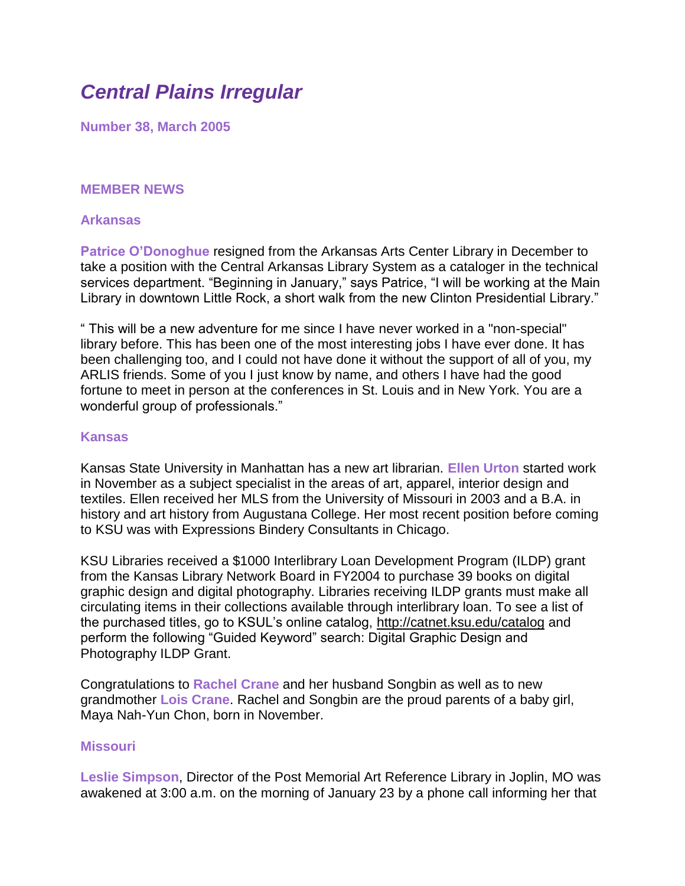# *Central Plains Irregular*

**Number 38, March 2005**

# **MEMBER NEWS**

#### **Arkansas**

**Patrice O'Donoghue** resigned from the Arkansas Arts Center Library in December to take a position with the Central Arkansas Library System as a cataloger in the technical services department. "Beginning in January," says Patrice, "I will be working at the Main Library in downtown Little Rock, a short walk from the new Clinton Presidential Library."

" This will be a new adventure for me since I have never worked in a "non-special" library before. This has been one of the most interesting jobs I have ever done. It has been challenging too, and I could not have done it without the support of all of you, my ARLIS friends. Some of you I just know by name, and others I have had the good fortune to meet in person at the conferences in St. Louis and in New York. You are a wonderful group of professionals."

#### **Kansas**

Kansas State University in Manhattan has a new art librarian. **Ellen Urton** started work in November as a subject specialist in the areas of art, apparel, interior design and textiles. Ellen received her MLS from the University of Missouri in 2003 and a B.A. in history and art history from Augustana College. Her most recent position before coming to KSU was with Expressions Bindery Consultants in Chicago.

KSU Libraries received a \$1000 Interlibrary Loan Development Program (ILDP) grant from the Kansas Library Network Board in FY2004 to purchase 39 books on digital graphic design and digital photography. Libraries receiving ILDP grants must make all circulating items in their collections available through interlibrary loan. To see a list of the purchased titles, go to KSUL's online catalog,<http://catnet.ksu.edu/catalog> and perform the following "Guided Keyword" search: Digital Graphic Design and Photography ILDP Grant.

Congratulations to **Rachel Crane** and her husband Songbin as well as to new grandmother **Lois Crane**. Rachel and Songbin are the proud parents of a baby girl, Maya Nah-Yun Chon, born in November.

## **Missouri**

**Leslie Simpson**, Director of the Post Memorial Art Reference Library in Joplin, MO was awakened at 3:00 a.m. on the morning of January 23 by a phone call informing her that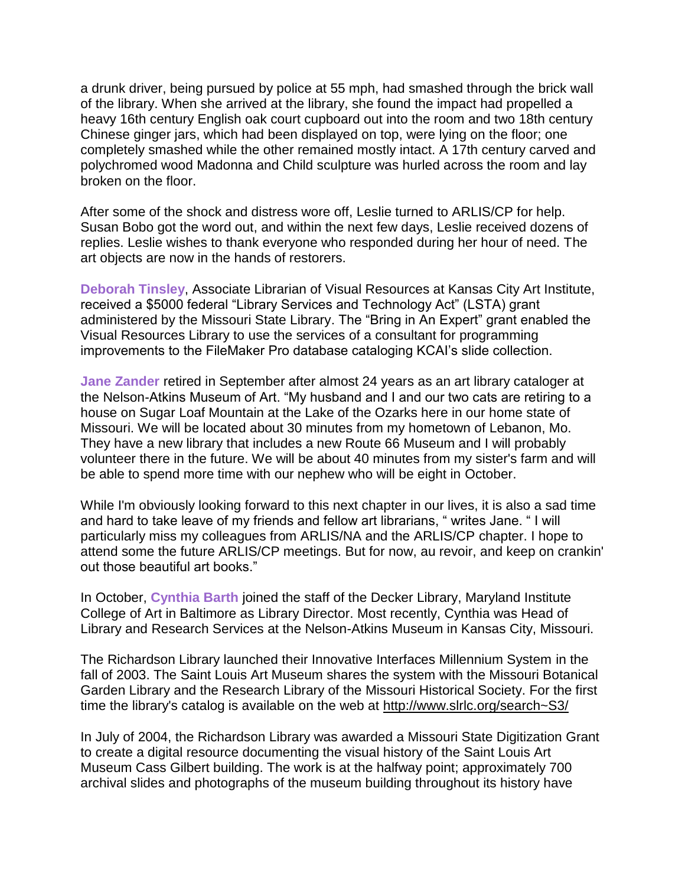a drunk driver, being pursued by police at 55 mph, had smashed through the brick wall of the library. When she arrived at the library, she found the impact had propelled a heavy 16th century English oak court cupboard out into the room and two 18th century Chinese ginger jars, which had been displayed on top, were lying on the floor; one completely smashed while the other remained mostly intact. A 17th century carved and polychromed wood Madonna and Child sculpture was hurled across the room and lay broken on the floor.

After some of the shock and distress wore off, Leslie turned to ARLIS/CP for help. Susan Bobo got the word out, and within the next few days, Leslie received dozens of replies. Leslie wishes to thank everyone who responded during her hour of need. The art objects are now in the hands of restorers.

**Deborah Tinsley**, Associate Librarian of Visual Resources at Kansas City Art Institute, received a \$5000 federal "Library Services and Technology Act" (LSTA) grant administered by the Missouri State Library. The "Bring in An Expert" grant enabled the Visual Resources Library to use the services of a consultant for programming improvements to the FileMaker Pro database cataloging KCAI's slide collection.

**Jane Zander** retired in September after almost 24 years as an art library cataloger at the Nelson-Atkins Museum of Art. "My husband and I and our two cats are retiring to a house on Sugar Loaf Mountain at the Lake of the Ozarks here in our home state of Missouri. We will be located about 30 minutes from my hometown of Lebanon, Mo. They have a new library that includes a new Route 66 Museum and I will probably volunteer there in the future. We will be about 40 minutes from my sister's farm and will be able to spend more time with our nephew who will be eight in October.

While I'm obviously looking forward to this next chapter in our lives, it is also a sad time and hard to take leave of my friends and fellow art librarians, " writes Jane. " I will particularly miss my colleagues from ARLIS/NA and the ARLIS/CP chapter. I hope to attend some the future ARLIS/CP meetings. But for now, au revoir, and keep on crankin' out those beautiful art books."

In October, **Cynthia Barth** joined the staff of the Decker Library, Maryland Institute College of Art in Baltimore as Library Director. Most recently, Cynthia was Head of Library and Research Services at the Nelson-Atkins Museum in Kansas City, Missouri.

The Richardson Library launched their Innovative Interfaces Millennium System in the fall of 2003. The Saint Louis Art Museum shares the system with the Missouri Botanical Garden Library and the Research Library of the Missouri Historical Society. For the first time the library's catalog is available on the web at<http://www.slrlc.org/search~S3/>

In July of 2004, the Richardson Library was awarded a Missouri State Digitization Grant to create a digital resource documenting the visual history of the Saint Louis Art Museum Cass Gilbert building. The work is at the halfway point; approximately 700 archival slides and photographs of the museum building throughout its history have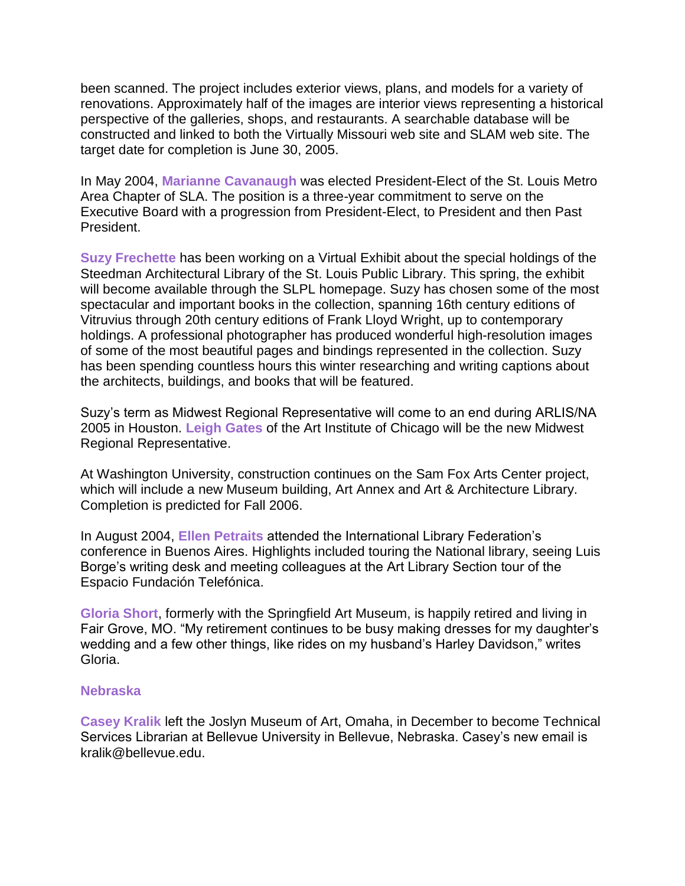been scanned. The project includes exterior views, plans, and models for a variety of renovations. Approximately half of the images are interior views representing a historical perspective of the galleries, shops, and restaurants. A searchable database will be constructed and linked to both the Virtually Missouri web site and SLAM web site. The target date for completion is June 30, 2005.

In May 2004, **Marianne Cavanaugh** was elected President-Elect of the St. Louis Metro Area Chapter of SLA. The position is a three-year commitment to serve on the Executive Board with a progression from President-Elect, to President and then Past President.

**Suzy Frechette** has been working on a Virtual Exhibit about the special holdings of the Steedman Architectural Library of the St. Louis Public Library. This spring, the exhibit will become available through the SLPL homepage. Suzy has chosen some of the most spectacular and important books in the collection, spanning 16th century editions of Vitruvius through 20th century editions of Frank Lloyd Wright, up to contemporary holdings. A professional photographer has produced wonderful high-resolution images of some of the most beautiful pages and bindings represented in the collection. Suzy has been spending countless hours this winter researching and writing captions about the architects, buildings, and books that will be featured.

Suzy's term as Midwest Regional Representative will come to an end during ARLIS/NA 2005 in Houston. **Leigh Gates** of the Art Institute of Chicago will be the new Midwest Regional Representative.

At Washington University, construction continues on the Sam Fox Arts Center project, which will include a new Museum building, Art Annex and Art & Architecture Library. Completion is predicted for Fall 2006.

In August 2004, **Ellen Petraits** attended the International Library Federation's conference in Buenos Aires. Highlights included touring the National library, seeing Luis Borge's writing desk and meeting colleagues at the Art Library Section tour of the Espacio Fundación Telefónica.

**Gloria Short**, formerly with the Springfield Art Museum, is happily retired and living in Fair Grove, MO. "My retirement continues to be busy making dresses for my daughter's wedding and a few other things, like rides on my husband's Harley Davidson," writes Gloria.

### **Nebraska**

**Casey Kralik** left the Joslyn Museum of Art, Omaha, in December to become Technical Services Librarian at Bellevue University in Bellevue, Nebraska. Casey's new email is kralik@bellevue.edu.